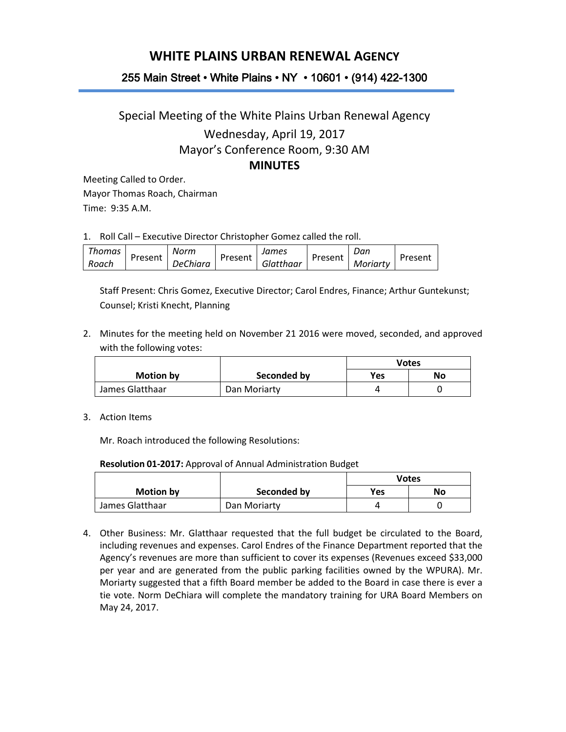## **WHITE PLAINS URBAN RENEWAL AGENCY**

## 255 Main Street • White Plains • NY • 10601 • (914) 422-1300

## Special Meeting of the White Plains Urban Renewal Agency Wednesday, April 19, 2017 Mayor's Conference Room, 9:30 AM **MINUTES**

Meeting Called to Order. Mayor Thomas Roach, Chairman Time: 9:35 A.M.

1. Roll Call – Executive Director Christopher Gomez called the roll.

| Thomas | Present | Norm     | Present | James     | Present | Dan      | Present |
|--------|---------|----------|---------|-----------|---------|----------|---------|
| Roach  |         | DeChiara |         | Glatthaar |         | Moriarty |         |

Staff Present: Chris Gomez, Executive Director; Carol Endres, Finance; Arthur Guntekunst; Counsel; Kristi Knecht, Planning

2. Minutes for the meeting held on November 21 2016 were moved, seconded, and approved with the following votes:

|                  |              | Votes      |    |  |
|------------------|--------------|------------|----|--|
| <b>Motion by</b> | Seconded by  | <b>Yes</b> | No |  |
| James Glatthaar  | Dan Moriarty |            |    |  |

3. Action Items

Mr. Roach introduced the following Resolutions:

**Resolution 01-2017:** Approval of Annual Administration Budget

|                 |              | <b>Votes</b> |    |
|-----------------|--------------|--------------|----|
| Motion by       | Seconded by  | Yes          | No |
| James Glatthaar | Dan Moriarty |              |    |

4. Other Business: Mr. Glatthaar requested that the full budget be circulated to the Board, including revenues and expenses. Carol Endres of the Finance Department reported that the Agency's revenues are more than sufficient to cover its expenses (Revenues exceed \$33,000 per year and are generated from the public parking facilities owned by the WPURA). Mr. Moriarty suggested that a fifth Board member be added to the Board in case there is ever a tie vote. Norm DeChiara will complete the mandatory training for URA Board Members on May 24, 2017.